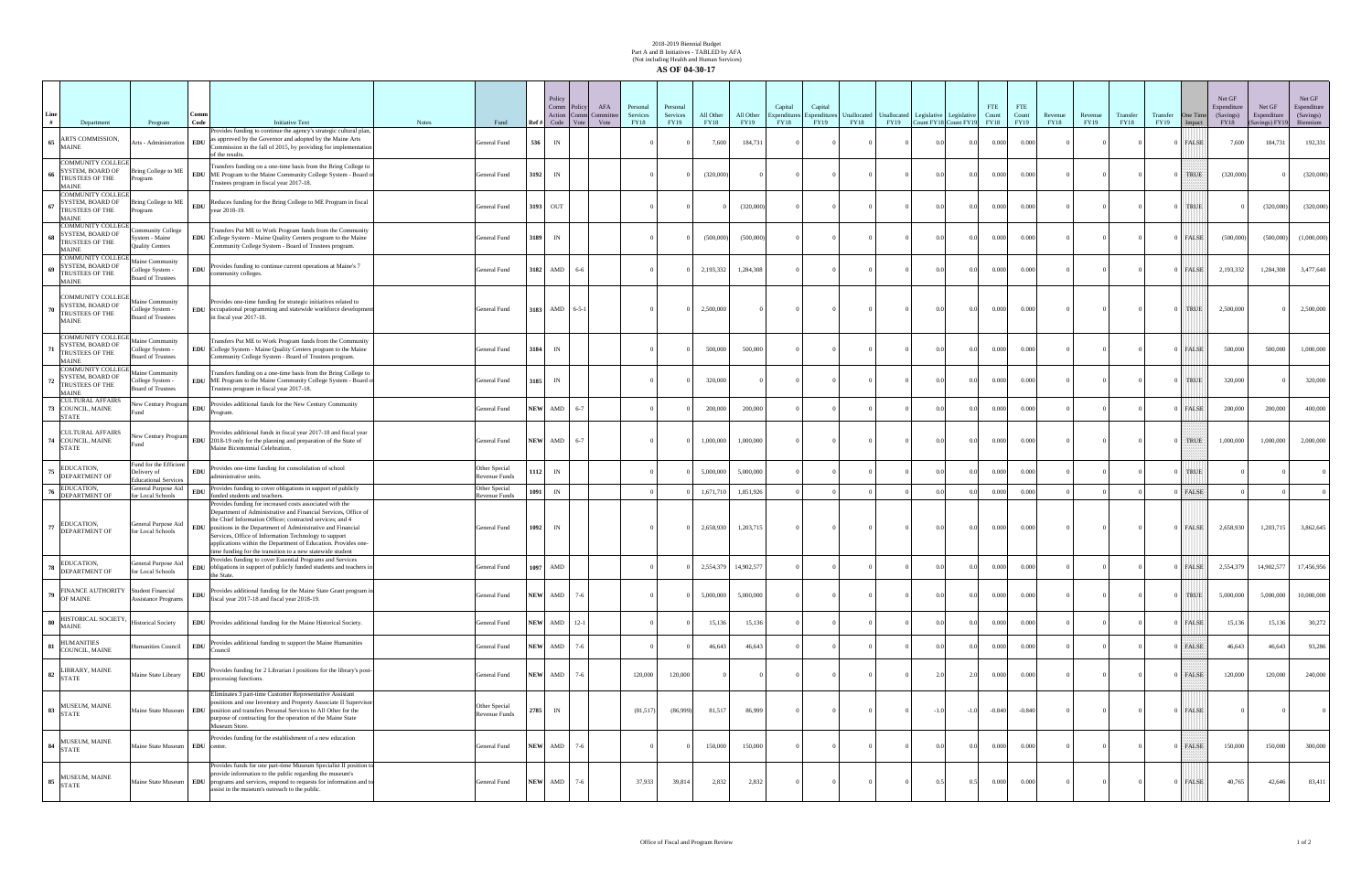## 2018-2019 Biennial Budget Part A and B Initiatives - TABLED by AFA (Not including Health and Human Services) **AS OF 04-30-17**

| # | Department                                                                         | Program                                                              | Code        | <b>Initiative Text</b>                                                                                                                                                                                                                                                                                                                                                                                                                        | <b>Notes</b> | Fund                                  | Ref ‡       | Policy<br>Comm Policy<br>Action<br>Code | AFA<br>Committe<br>Comn<br>Vote<br>Vote | Personal<br>Services<br>FY18 | Personal<br>Services<br>FY19 | All Other<br><b>FY18</b> | All Other<br>FY19 | Capital<br>Expenditures<br>FY18 | Capital<br>Expenditures<br>FY19 | <b>FY18</b> | Unallocated Unallocated Legislative Legislative | FY19 Count FY18 Count FY19 |                | <b>FTE</b><br>Count<br>FY18 | FTE<br>Count<br><b>FY19</b> | Revenue<br><b>FY18</b> | Revenue<br>FY19 | Transfer<br><b>FY18</b> | Transfer<br>FY19 | One Time<br>Impact | Net GF<br>Expenditure<br>(Savings)<br>FY18 | Net GF<br>Expenditure<br>Savings) FY1 | Net GF<br>Espenditure<br>(Savings)<br>Biennium |
|---|------------------------------------------------------------------------------------|----------------------------------------------------------------------|-------------|-----------------------------------------------------------------------------------------------------------------------------------------------------------------------------------------------------------------------------------------------------------------------------------------------------------------------------------------------------------------------------------------------------------------------------------------------|--------------|---------------------------------------|-------------|-----------------------------------------|-----------------------------------------|------------------------------|------------------------------|--------------------------|-------------------|---------------------------------|---------------------------------|-------------|-------------------------------------------------|----------------------------|----------------|-----------------------------|-----------------------------|------------------------|-----------------|-------------------------|------------------|--------------------|--------------------------------------------|---------------------------------------|------------------------------------------------|
|   | 65 ARTS COMMISSION,<br>MAINE                                                       | Arts - Administration EDU                                            |             | Provides funding to continue the agency's strategic cultural plan,<br>as approved by the Governor and adopted by the Maine Arts<br>Commission in the fall of 2015, by providing for implementation<br>of the results.                                                                                                                                                                                                                         |              | General Fund                          | 536         | IN                                      |                                         |                              |                              | 7,600                    | 184,731           |                                 |                                 |             |                                                 |                            | 0.0            | 0.000                       | 0.000                       |                        |                 |                         |                  | FALSE              | 7,600                                      | 184,731                               | 192,331                                        |
|   | <b>COMMUNITY COLLEGE</b><br>SYSTEM, BOARD OF<br>TRUSTEES OF THE<br><b>MAINE</b>    | ring College to ME<br>ogram                                          |             | Transfers funding on a one-time basis from the Bring College to<br>EDU ME Program to the Maine Community College System - Board of<br>Trustees program in fiscal year 2017-18.                                                                                                                                                                                                                                                                |              | General Fund                          | 3192        | IN                                      |                                         |                              |                              | (320,000)                |                   |                                 |                                 |             |                                                 | $^{\circ}$                 | 0.0            | 0.000                       | 0.000                       |                        |                 |                         |                  | TRUE               | (320,000)                                  |                                       | (320,000)                                      |
|   | <b>COMMUNITY COLLEGE</b><br>SYSTEM, BOARD OF<br>TRUSTEES OF THE<br><b>MAINE</b>    | Bring College to ME<br>ogram                                         | EDU         | Reduces funding for the Bring College to ME Program in fiscal<br>year 2018-19.                                                                                                                                                                                                                                                                                                                                                                |              | General Fund                          | 3193        | OUT                                     |                                         |                              |                              |                          | (320,000)         |                                 |                                 |             |                                                 | $^{\circ}$                 | 0 <sub>0</sub> | 0.000                       | 0.000                       |                        |                 |                         |                  | TRUE               |                                            | (320,000)                             | (320,000)                                      |
|   | <b>COMMUNITY COLLEGE</b><br>SYSTEM, BOARD OF<br>68 TRUSTEES OF THE<br><b>MAINE</b> | munity College<br>ystem - Maine<br><b>Quality Centers</b>            |             | Transfers Put ME to Work Program funds from the Community<br>EDU College System - Maine Quality Centers program to the Maine<br>'ommunity College System - Board of Trustees program.                                                                                                                                                                                                                                                         |              | General Fund                          | 3189        | IN                                      |                                         |                              |                              | (500,000)                | (500,000)         |                                 |                                 |             |                                                 | 0 <sup>0</sup>             | 0.0            | 0.000                       | 0.000                       |                        |                 |                         |                  | )   FALSE          | (500,000)                                  | (500,000)                             | (1,000,000)                                    |
|   | <b>COMMUNITY COLLEGE</b><br>SYSTEM, BOARD OF<br>TRUSTEES OF THE<br><b>MAINE</b>    | <b>Jaine Community</b><br>ollege System -<br>oard of Trustees        | <b>EDU</b>  | Provides funding to continue current operations at Maine's 7<br>community colleges.                                                                                                                                                                                                                                                                                                                                                           |              | General Fund                          | 3182        | AMD                                     | 6-6                                     |                              |                              | 2,193,332                | 1,284,308         |                                 |                                 |             |                                                 |                            | 0.0            | 0.000                       | 0.000                       |                        |                 |                         |                  | FALSE              | 2,193,332                                  | 1,284,308                             | 3,477,640                                      |
|   | COMMUNITY COLLEGE<br>SYSTEM, BOARD OF<br>TRUSTEES OF THE<br><b>MAINE</b>           | Maine Community<br>ollege System -<br><b>Board of Trustees</b>       |             | Provides one-time funding for strategic initiatives related to<br>EDU occupational programming and statewide workforce development<br>in fiscal year 2017-18.                                                                                                                                                                                                                                                                                 |              | General Fund                          | 3183        | AMD                                     | $6 - 5 - 1$                             |                              |                              | 2,500,000                |                   |                                 |                                 |             |                                                 |                            | 0.0            | 0.000                       | 0.000                       |                        |                 |                         |                  | TRUE               | 2,500,000                                  |                                       | 2,500,000                                      |
|   | <b>COMMUNITY COLLEGE</b><br>SYSTEM, BOARD OF<br>TRUSTEES OF THE<br><b>MAINE</b>    | iaine Community<br>ollege System -<br>oard of Trustees               |             | Transfers Put ME to Work Program funds from the Community<br>EDU College System - Maine Quality Centers program to the Maine<br>Community College System - Board of Trustees program.                                                                                                                                                                                                                                                         |              | General Fund                          | 3184        | IN                                      |                                         |                              |                              | 500,000                  | 500,000           |                                 |                                 |             |                                                 | $\Omega$                   | 0.0            | 0.000                       | 0.000                       |                        |                 |                         |                  | )   FALSE          | 500,000                                    | 500,000                               | 1,000,000                                      |
|   | <b>COMMUNITY COLLEGE</b><br>SYSTEM, BOARD OF<br>TRUSTEES OF THE<br><b>MAINE</b>    | aine Community<br>ollege System -<br>oard of Trustees                |             | Transfers funding on a one-time basis from the Bring College to<br>EDU ME Program to the Maine Community College System - Board of<br>Trustees program in fiscal year 2017-18.                                                                                                                                                                                                                                                                |              | General Fund                          | 3185        | IN                                      |                                         |                              |                              | 320,000                  |                   |                                 |                                 |             |                                                 | $^{\circ}$                 | 0 <sub>0</sub> | 0.000                       | 0.000                       |                        |                 |                         |                  | TRUE               | 320,000                                    |                                       | 320,000                                        |
|   | <b>CULTURAL AFFAIRS</b><br>3 COUNCIL, MAINE<br><b>STATE</b>                        | lew Century Program                                                  | ${\bf EDU}$ | Provides additional funds for the New Century Community<br>Program.                                                                                                                                                                                                                                                                                                                                                                           |              | General Fund                          | <b>NEW</b>  | AMD                                     | $6 - 7$                                 |                              |                              | 200,000                  | 200,000           |                                 |                                 |             |                                                 |                            | 0 <sub>0</sub> | 0.000                       | 0.000                       |                        |                 |                         |                  | FALSE              | 200,000                                    | 200,000                               | 400,000                                        |
|   | <b>CULTURAL AFFAIRS</b><br>74 COUNCIL, MAINE<br><b>STATE</b>                       |                                                                      |             | Provides additional funds in fiscal year 2017-18 and fiscal year<br>New Century Program<br>EDU 2018-19 only for the planning and preparation of the State of<br>Maine Bicentennial Celebration.                                                                                                                                                                                                                                               |              | General Fund                          | <b>NEW</b>  | AMD                                     | $6 - 7$                                 |                              |                              | 1,000,000                | 1,000,000         |                                 |                                 |             |                                                 | 0.0                        | 0.0            | 0.000                       | 0.000                       |                        |                 |                         |                  | TRUE               | 1,000,000                                  | 1,000,000                             | 2,000,000                                      |
|   | EDUCATION,<br>DEPARTMENT OF                                                        | Fund for the Efficient<br>Delivery of<br><b>Educational Services</b> | <b>EDU</b>  | Provides one-time funding for consolidation of school<br>administrative units.                                                                                                                                                                                                                                                                                                                                                                |              | Other Special<br>Revenue Funds        | 1112        | IN                                      |                                         |                              |                              | 5,000,000                | 5,000,000         |                                 |                                 |             |                                                 |                            | 0.0            | 0.000                       | 0.000                       |                        |                 |                         |                  | TRUE               |                                            |                                       |                                                |
|   | EDUCATION,<br><b>DEPARTMENT OF</b>                                                 | General Purpose Aid<br>or Local Schools                              | <b>EDU</b>  | Provides funding to cover obligations in support of publicly<br>unded students and teachers.                                                                                                                                                                                                                                                                                                                                                  |              | Other Special<br>evenue Funds         | 1091        | IN                                      |                                         |                              |                              | 1,671,710                | 1,851,926         |                                 |                                 |             |                                                 |                            |                | 0.000                       | 0.000                       |                        |                 |                         |                  | FALSE              |                                            |                                       |                                                |
|   | EDUCATION,<br>DEPARTMENT OF                                                        | General Purpose Aid<br>for Local Schools                             | <b>EDU</b>  | Provides funding for increased costs associated with the<br>Department of Administrative and Financial Services, Office of<br>the Chief Information Officer: contracted services: and 4<br>positions in the Department of Administrative and Financial<br>Services, Office of Information Technology to support<br>applications within the Department of Education. Provides one-<br>me funding for the transition to a new statewide student |              | General Fund                          | 1092        | IN                                      |                                         |                              |                              | 2,658,930                | 1,203,715         |                                 |                                 |             |                                                 | 0 <sup>0</sup>             | 0.0            | 0.000                       | 0.000                       |                        |                 |                         |                  | 0 FALSE            | 2,658,930                                  | 1,203,715                             | 3,862,645                                      |
|   | EDUCATION.<br>DEPARTMENT OF                                                        | General Purpose Aid<br>for Local Schools                             | EDU         | Provides funding to cover Essential Programs and Services<br>obligations in support of publicly funded students and teachers i<br>the State.                                                                                                                                                                                                                                                                                                  |              | General Fund                          | 1097        | AMD                                     |                                         |                              |                              | 2,554,379                | 14,902,577        |                                 |                                 |             |                                                 |                            | 0.0            | 0.000                       | 0.000                       |                        |                 |                         |                  | FALSE              | 2,554,379                                  | 14,902,577                            | 17,456,956                                     |
|   | FINANCE AUTHORITY Student Financial<br>$79$ OF MAINE                               | <b>Assistance Programs</b>                                           | ${\bf EDU}$ | Provides additional funding for the Maine State Grant program i<br>fiscal year 2017-18 and fiscal year 2018-19.                                                                                                                                                                                                                                                                                                                               |              | General Fund                          | <b>NEW</b>  | AMD                                     | $7-6$                                   |                              |                              | 5,000,000                | 5,000,000         |                                 |                                 |             | $\Omega$                                        | 0.0                        | 0.0            | 0.000                       | 0.000                       |                        | $\Omega$        |                         |                  | ) TRUE             | 5,000,000                                  | 5,000,000                             | 10,000,000                                     |
|   | HISTORICAL SOCIETY,<br>$80$ $M$ AINE                                               | <b>Historical Society</b>                                            |             | EDU Provides additional funding for the Maine Historical Society.                                                                                                                                                                                                                                                                                                                                                                             |              | General Fund                          | ${\bf NEW}$ | AMD                                     | $12-1$                                  |                              |                              | 15,136                   | 15,136            |                                 |                                 |             |                                                 | 0.0                        | 0.0            | 0.000                       | 0.000                       |                        |                 |                         |                  | FALSE              | 15,136                                     | 15,136                                | 30,272                                         |
|   | <b>HUMANITIES</b><br>81 COUNCIL, MAINE                                             | Iumanities Council                                                   | <b>EDU</b>  | Provides additional funding to support the Maine Humanities<br>Council                                                                                                                                                                                                                                                                                                                                                                        |              | General Fund                          | <b>NEW</b>  | AMD                                     | $7 - 6$                                 |                              |                              | 46,643                   | 46,643            |                                 |                                 |             |                                                 | $\Omega$                   | 0 <sub>0</sub> | 0.000                       | 0.000                       |                        |                 |                         |                  | FALSE              | 46,643                                     | 46,643                                | 93,286                                         |
|   | 82 LIBRARY, MAINE                                                                  | Maine State Library                                                  | <b>EDU</b>  | Provides funding for 2 Librarian I positions for the library's post-<br>processing functions.                                                                                                                                                                                                                                                                                                                                                 |              | General Fund                          | <b>NEW</b>  | AMD                                     | $7-6$                                   | 120,000                      | 120,000                      |                          |                   |                                 |                                 |             |                                                 | 2.0                        | 2.0            | 0.000                       | 0.000                       |                        |                 |                         |                  | D   FALSE          | 120,000                                    | 120,000                               | 240,000                                        |
|   | 83 MUSEUM, MAINE                                                                   |                                                                      |             | Eliminates 3 part-time Customer Representative Assistant<br>positions and one Inventory and Property Associate II Superviso<br>Maine State Museum EDU position and transfers Personal Services to All Other for the<br>purpose of contracting for the operation of the Maine State<br>Museum Store.                                                                                                                                           |              | Other Special<br><b>Revenue Funds</b> | 2785        | IN                                      |                                         | (81,517)                     | (86,999)                     | 81,517                   | 86,999            |                                 |                                 |             |                                                 | $-1.0$                     | $-1.0$         | $-0.840$                    | $-0.840$                    |                        |                 |                         |                  | FALSE              |                                            |                                       | $\Omega$                                       |
|   | 84 MUSEUM, MAINE                                                                   | Maine State Museum EDU center.                                       |             | Provides funding for the establishment of a new education                                                                                                                                                                                                                                                                                                                                                                                     |              | General Fund                          | <b>NEW</b>  | AMD                                     | $7 - 6$                                 |                              |                              | 150,000                  | 150,000           |                                 |                                 |             |                                                 | 0.0                        | 0.0            | 0.000                       | 0.000                       |                        |                 |                         |                  | 0 FALSE            | 150,000                                    | 150,000                               | 300,000                                        |
|   | 85 MUSEUM, MAINE<br>STATE                                                          |                                                                      |             | Provides funds for one part-time Museum Specialist II position to<br>provide information to the public regarding the museum's<br>Maine State Museum EDU programs and services, respond to requests for information and to<br>assist in the museum's outreach to the public.                                                                                                                                                                   |              | General Fund                          | <b>NEW</b>  | AMD                                     | $7 - 6$                                 | 37,933                       | 39,814                       | 2,832                    | 2,832             |                                 |                                 |             |                                                 | 0.5                        | 0.5            | 0.000                       | 0.000                       |                        | $\Omega$        |                         |                  | FALSE              | 40,765                                     | 42,646                                | 83,411                                         |